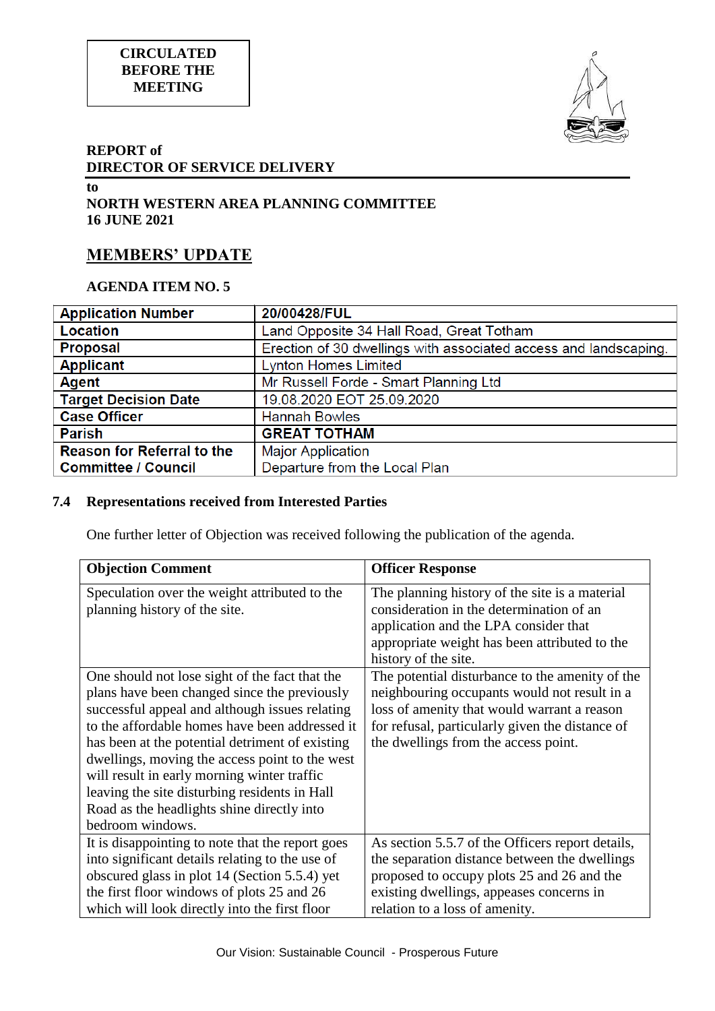



## **REPORT of DIRECTOR OF SERVICE DELIVERY**

#### **to NORTH WESTERN AREA PLANNING COMMITTEE 16 JUNE 2021**

# **MEMBERS' UPDATE**

# **AGENDA ITEM NO. 5**

| <b>Application Number</b>         | 20/00428/FUL                                                     |  |
|-----------------------------------|------------------------------------------------------------------|--|
| Location                          | Land Opposite 34 Hall Road, Great Totham                         |  |
| <b>Proposal</b>                   | Erection of 30 dwellings with associated access and landscaping. |  |
| <b>Applicant</b>                  | <b>Lynton Homes Limited</b>                                      |  |
| Agent                             | Mr Russell Forde - Smart Planning Ltd                            |  |
| <b>Target Decision Date</b>       | 19.08.2020 EOT 25.09.2020                                        |  |
| <b>Case Officer</b>               | <b>Hannah Bowles</b>                                             |  |
| <b>Parish</b>                     | <b>GREAT TOTHAM</b>                                              |  |
| <b>Reason for Referral to the</b> | <b>Major Application</b>                                         |  |
| <b>Committee / Council</b>        | Departure from the Local Plan                                    |  |

# **7.4 Representations received from Interested Parties**

One further letter of Objection was received following the publication of the agenda.

| <b>Objection Comment</b>                                                                                                                                                                                                                                                                                                                                                                                                                                                  | <b>Officer Response</b>                                                                                                                                                                                                                   |
|---------------------------------------------------------------------------------------------------------------------------------------------------------------------------------------------------------------------------------------------------------------------------------------------------------------------------------------------------------------------------------------------------------------------------------------------------------------------------|-------------------------------------------------------------------------------------------------------------------------------------------------------------------------------------------------------------------------------------------|
| Speculation over the weight attributed to the<br>planning history of the site.                                                                                                                                                                                                                                                                                                                                                                                            | The planning history of the site is a material<br>consideration in the determination of an<br>application and the LPA consider that<br>appropriate weight has been attributed to the<br>history of the site.                              |
| One should not lose sight of the fact that the<br>plans have been changed since the previously<br>successful appeal and although issues relating<br>to the affordable homes have been addressed it<br>has been at the potential detriment of existing<br>dwellings, moving the access point to the west<br>will result in early morning winter traffic<br>leaving the site disturbing residents in Hall<br>Road as the headlights shine directly into<br>bedroom windows. | The potential disturbance to the amenity of the<br>neighbouring occupants would not result in a<br>loss of amenity that would warrant a reason<br>for refusal, particularly given the distance of<br>the dwellings from the access point. |
| It is disappointing to note that the report goes<br>into significant details relating to the use of<br>obscured glass in plot 14 (Section 5.5.4) yet<br>the first floor windows of plots 25 and 26<br>which will look directly into the first floor                                                                                                                                                                                                                       | As section 5.5.7 of the Officers report details,<br>the separation distance between the dwellings<br>proposed to occupy plots 25 and 26 and the<br>existing dwellings, appeases concerns in<br>relation to a loss of amenity.             |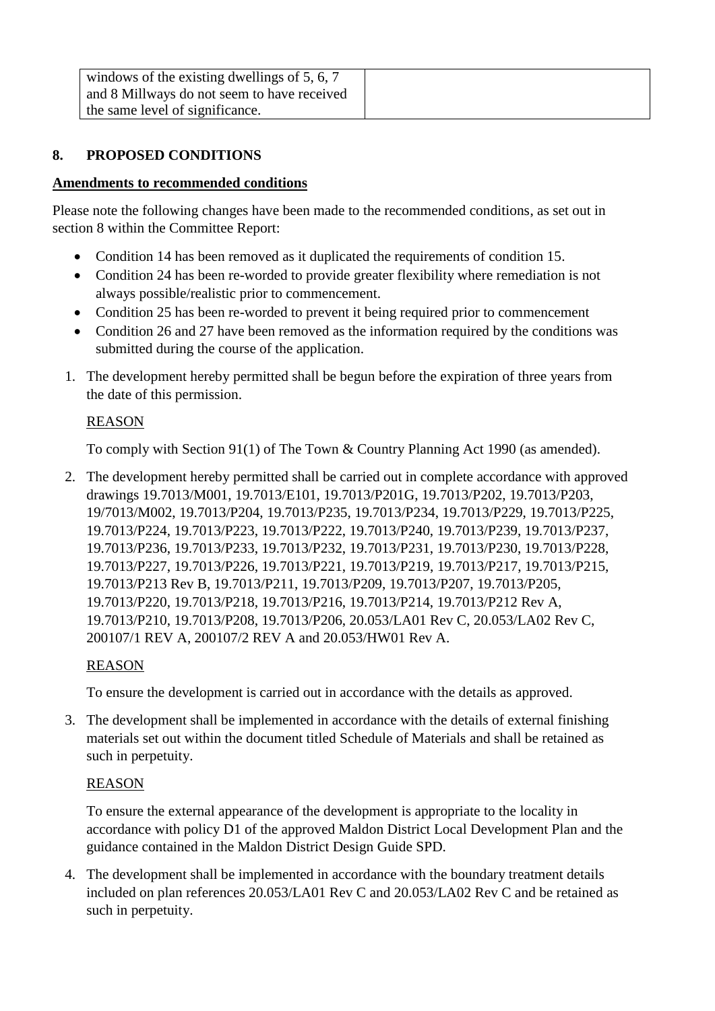| windows of the existing dwellings of $5, 6, 7$ |  |
|------------------------------------------------|--|
| and 8 Millways do not seem to have received    |  |
| the same level of significance.                |  |

# **8. PROPOSED CONDITIONS**

#### **Amendments to recommended conditions**

Please note the following changes have been made to the recommended conditions, as set out in section 8 within the Committee Report:

- Condition 14 has been removed as it duplicated the requirements of condition 15.
- Condition 24 has been re-worded to provide greater flexibility where remediation is not always possible/realistic prior to commencement.
- Condition 25 has been re-worded to prevent it being required prior to commencement
- Condition 26 and 27 have been removed as the information required by the conditions was submitted during the course of the application.
- 1. The development hereby permitted shall be begun before the expiration of three years from the date of this permission.

#### REASON

To comply with Section 91(1) of The Town & Country Planning Act 1990 (as amended).

2. The development hereby permitted shall be carried out in complete accordance with approved drawings 19.7013/M001, 19.7013/E101, 19.7013/P201G, 19.7013/P202, 19.7013/P203, 19/7013/M002, 19.7013/P204, 19.7013/P235, 19.7013/P234, 19.7013/P229, 19.7013/P225, 19.7013/P224, 19.7013/P223, 19.7013/P222, 19.7013/P240, 19.7013/P239, 19.7013/P237, 19.7013/P236, 19.7013/P233, 19.7013/P232, 19.7013/P231, 19.7013/P230, 19.7013/P228, 19.7013/P227, 19.7013/P226, 19.7013/P221, 19.7013/P219, 19.7013/P217, 19.7013/P215, 19.7013/P213 Rev B, 19.7013/P211, 19.7013/P209, 19.7013/P207, 19.7013/P205, 19.7013/P220, 19.7013/P218, 19.7013/P216, 19.7013/P214, 19.7013/P212 Rev A, 19.7013/P210, 19.7013/P208, 19.7013/P206, 20.053/LA01 Rev C, 20.053/LA02 Rev C, 200107/1 REV A, 200107/2 REV A and 20.053/HW01 Rev A.

## REASON

To ensure the development is carried out in accordance with the details as approved.

3. The development shall be implemented in accordance with the details of external finishing materials set out within the document titled Schedule of Materials and shall be retained as such in perpetuity.

#### REASON

To ensure the external appearance of the development is appropriate to the locality in accordance with policy D1 of the approved Maldon District Local Development Plan and the guidance contained in the Maldon District Design Guide SPD.

4. The development shall be implemented in accordance with the boundary treatment details included on plan references 20.053/LA01 Rev C and 20.053/LA02 Rev C and be retained as such in perpetuity.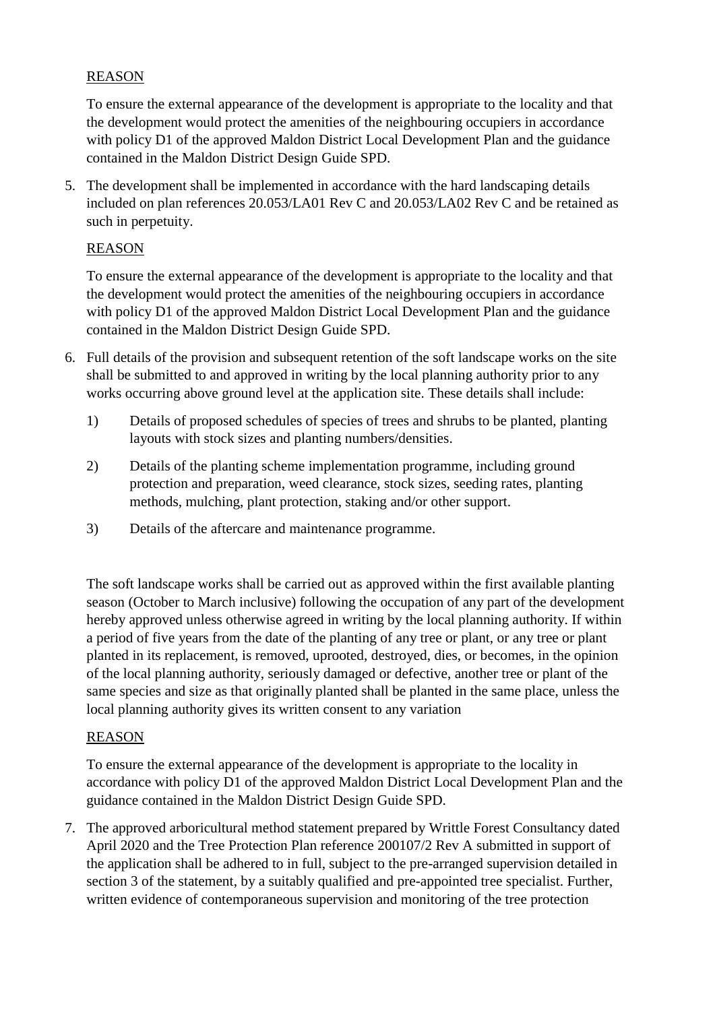# REASON

To ensure the external appearance of the development is appropriate to the locality and that the development would protect the amenities of the neighbouring occupiers in accordance with policy D1 of the approved Maldon District Local Development Plan and the guidance contained in the Maldon District Design Guide SPD.

5. The development shall be implemented in accordance with the hard landscaping details included on plan references 20.053/LA01 Rev C and 20.053/LA02 Rev C and be retained as such in perpetuity.

#### REASON

To ensure the external appearance of the development is appropriate to the locality and that the development would protect the amenities of the neighbouring occupiers in accordance with policy D1 of the approved Maldon District Local Development Plan and the guidance contained in the Maldon District Design Guide SPD.

- 6. Full details of the provision and subsequent retention of the soft landscape works on the site shall be submitted to and approved in writing by the local planning authority prior to any works occurring above ground level at the application site. These details shall include:
	- 1) Details of proposed schedules of species of trees and shrubs to be planted, planting layouts with stock sizes and planting numbers/densities.
	- 2) Details of the planting scheme implementation programme, including ground protection and preparation, weed clearance, stock sizes, seeding rates, planting methods, mulching, plant protection, staking and/or other support.
	- 3) Details of the aftercare and maintenance programme.

The soft landscape works shall be carried out as approved within the first available planting season (October to March inclusive) following the occupation of any part of the development hereby approved unless otherwise agreed in writing by the local planning authority. If within a period of five years from the date of the planting of any tree or plant, or any tree or plant planted in its replacement, is removed, uprooted, destroyed, dies, or becomes, in the opinion of the local planning authority, seriously damaged or defective, another tree or plant of the same species and size as that originally planted shall be planted in the same place, unless the local planning authority gives its written consent to any variation

#### REASON

To ensure the external appearance of the development is appropriate to the locality in accordance with policy D1 of the approved Maldon District Local Development Plan and the guidance contained in the Maldon District Design Guide SPD.

7. The approved arboricultural method statement prepared by Writtle Forest Consultancy dated April 2020 and the Tree Protection Plan reference 200107/2 Rev A submitted in support of the application shall be adhered to in full, subject to the pre-arranged supervision detailed in section 3 of the statement, by a suitably qualified and pre-appointed tree specialist. Further, written evidence of contemporaneous supervision and monitoring of the tree protection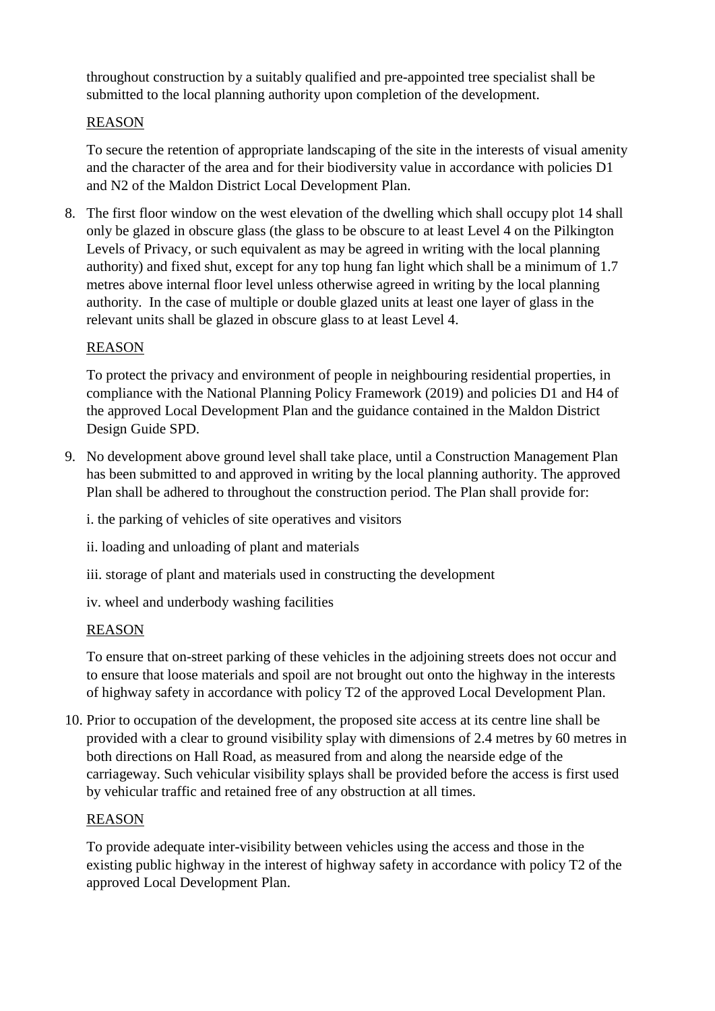throughout construction by a suitably qualified and pre-appointed tree specialist shall be submitted to the local planning authority upon completion of the development.

# **REASON**

To secure the retention of appropriate landscaping of the site in the interests of visual amenity and the character of the area and for their biodiversity value in accordance with policies D1 and N2 of the Maldon District Local Development Plan.

8. The first floor window on the west elevation of the dwelling which shall occupy plot 14 shall only be glazed in obscure glass (the glass to be obscure to at least Level 4 on the Pilkington Levels of Privacy, or such equivalent as may be agreed in writing with the local planning authority) and fixed shut, except for any top hung fan light which shall be a minimum of 1.7 metres above internal floor level unless otherwise agreed in writing by the local planning authority. In the case of multiple or double glazed units at least one layer of glass in the relevant units shall be glazed in obscure glass to at least Level 4.

# REASON

To protect the privacy and environment of people in neighbouring residential properties, in compliance with the National Planning Policy Framework (2019) and policies D1 and H4 of the approved Local Development Plan and the guidance contained in the Maldon District Design Guide SPD.

9. No development above ground level shall take place, until a Construction Management Plan has been submitted to and approved in writing by the local planning authority. The approved Plan shall be adhered to throughout the construction period. The Plan shall provide for:

i. the parking of vehicles of site operatives and visitors

ii. loading and unloading of plant and materials

- iii. storage of plant and materials used in constructing the development
- iv. wheel and underbody washing facilities

## REASON

To ensure that on-street parking of these vehicles in the adjoining streets does not occur and to ensure that loose materials and spoil are not brought out onto the highway in the interests of highway safety in accordance with policy T2 of the approved Local Development Plan.

10. Prior to occupation of the development, the proposed site access at its centre line shall be provided with a clear to ground visibility splay with dimensions of 2.4 metres by 60 metres in both directions on Hall Road, as measured from and along the nearside edge of the carriageway. Such vehicular visibility splays shall be provided before the access is first used by vehicular traffic and retained free of any obstruction at all times.

## REASON

To provide adequate inter-visibility between vehicles using the access and those in the existing public highway in the interest of highway safety in accordance with policy T2 of the approved Local Development Plan.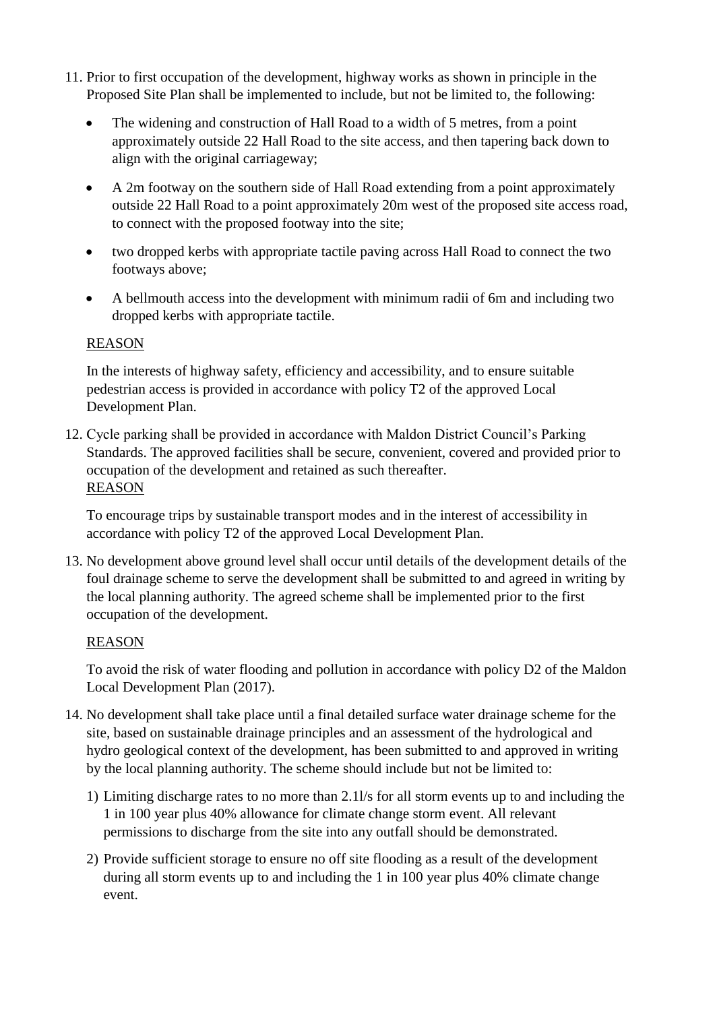- 11. Prior to first occupation of the development, highway works as shown in principle in the Proposed Site Plan shall be implemented to include, but not be limited to, the following:
	- The widening and construction of Hall Road to a width of 5 metres, from a point approximately outside 22 Hall Road to the site access, and then tapering back down to align with the original carriageway;
	- A 2m footway on the southern side of Hall Road extending from a point approximately outside 22 Hall Road to a point approximately 20m west of the proposed site access road, to connect with the proposed footway into the site;
	- two dropped kerbs with appropriate tactile paving across Hall Road to connect the two footways above;
	- A bellmouth access into the development with minimum radii of 6m and including two dropped kerbs with appropriate tactile.

## REASON

In the interests of highway safety, efficiency and accessibility, and to ensure suitable pedestrian access is provided in accordance with policy T2 of the approved Local Development Plan.

12. Cycle parking shall be provided in accordance with Maldon District Council's Parking Standards. The approved facilities shall be secure, convenient, covered and provided prior to occupation of the development and retained as such thereafter. REASON

To encourage trips by sustainable transport modes and in the interest of accessibility in accordance with policy T2 of the approved Local Development Plan.

13. No development above ground level shall occur until details of the development details of the foul drainage scheme to serve the development shall be submitted to and agreed in writing by the local planning authority. The agreed scheme shall be implemented prior to the first occupation of the development.

## REASON

To avoid the risk of water flooding and pollution in accordance with policy D2 of the Maldon Local Development Plan (2017).

- 14. No development shall take place until a final detailed surface water drainage scheme for the site, based on sustainable drainage principles and an assessment of the hydrological and hydro geological context of the development, has been submitted to and approved in writing by the local planning authority. The scheme should include but not be limited to:
	- 1) Limiting discharge rates to no more than 2.1l/s for all storm events up to and including the 1 in 100 year plus 40% allowance for climate change storm event. All relevant permissions to discharge from the site into any outfall should be demonstrated.
	- 2) Provide sufficient storage to ensure no off site flooding as a result of the development during all storm events up to and including the 1 in 100 year plus 40% climate change event.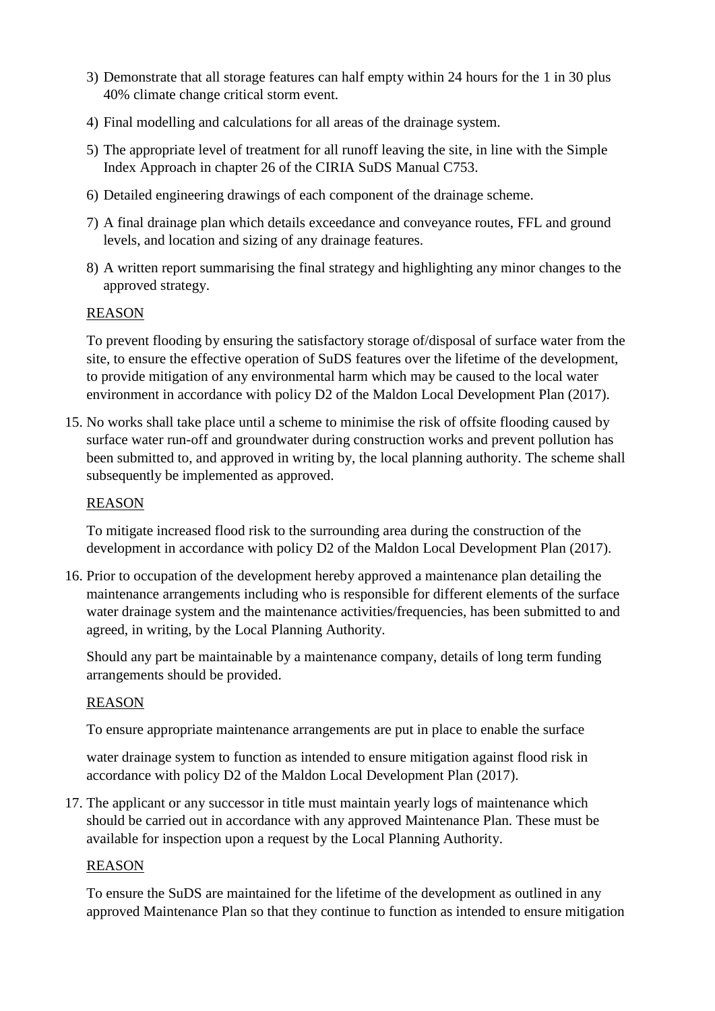- 3) Demonstrate that all storage features can half empty within 24 hours for the 1 in 30 plus 40% climate change critical storm event.
- 4) Final modelling and calculations for all areas of the drainage system.
- 5) The appropriate level of treatment for all runoff leaving the site, in line with the Simple Index Approach in chapter 26 of the CIRIA SuDS Manual C753.
- 6) Detailed engineering drawings of each component of the drainage scheme.
- 7) A final drainage plan which details exceedance and conveyance routes, FFL and ground levels, and location and sizing of any drainage features.
- 8) A written report summarising the final strategy and highlighting any minor changes to the approved strategy.

#### REASON

To prevent flooding by ensuring the satisfactory storage of/disposal of surface water from the site, to ensure the effective operation of SuDS features over the lifetime of the development, to provide mitigation of any environmental harm which may be caused to the local water environment in accordance with policy D2 of the Maldon Local Development Plan (2017).

15. No works shall take place until a scheme to minimise the risk of offsite flooding caused by surface water run-off and groundwater during construction works and prevent pollution has been submitted to, and approved in writing by, the local planning authority. The scheme shall subsequently be implemented as approved.

#### REASON

To mitigate increased flood risk to the surrounding area during the construction of the development in accordance with policy D2 of the Maldon Local Development Plan (2017).

16. Prior to occupation of the development hereby approved a maintenance plan detailing the maintenance arrangements including who is responsible for different elements of the surface water drainage system and the maintenance activities/frequencies, has been submitted to and agreed, in writing, by the Local Planning Authority.

Should any part be maintainable by a maintenance company, details of long term funding arrangements should be provided.

#### REASON

To ensure appropriate maintenance arrangements are put in place to enable the surface

water drainage system to function as intended to ensure mitigation against flood risk in accordance with policy D2 of the Maldon Local Development Plan (2017).

17. The applicant or any successor in title must maintain yearly logs of maintenance which should be carried out in accordance with any approved Maintenance Plan. These must be available for inspection upon a request by the Local Planning Authority.

#### REASON

To ensure the SuDS are maintained for the lifetime of the development as outlined in any approved Maintenance Plan so that they continue to function as intended to ensure mitigation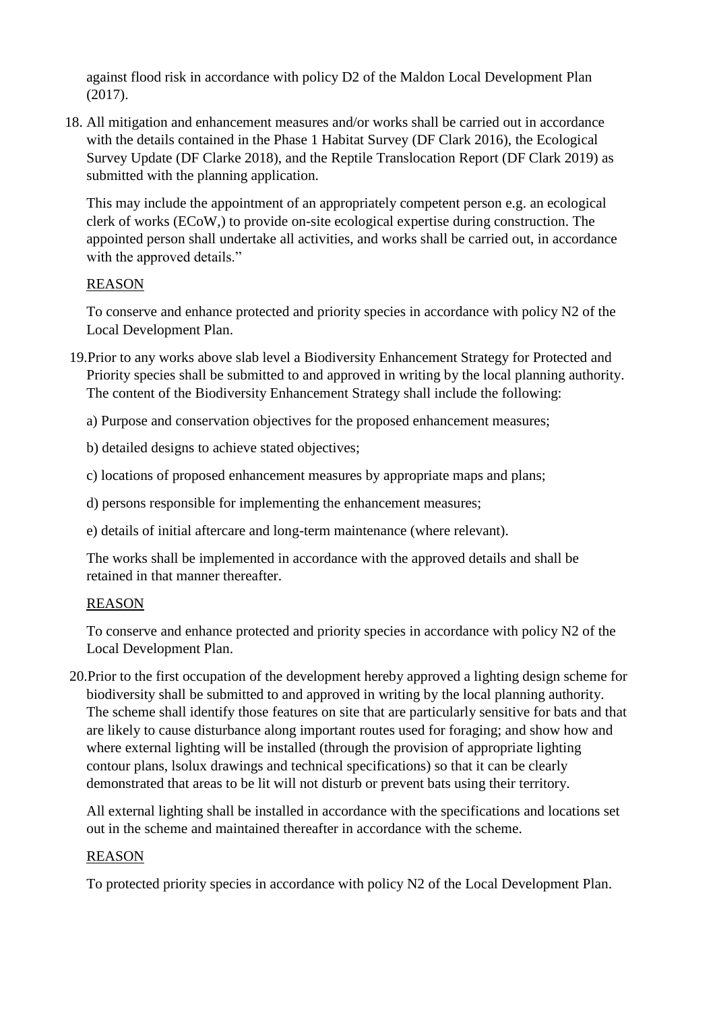against flood risk in accordance with policy D2 of the Maldon Local Development Plan (2017).

18. All mitigation and enhancement measures and/or works shall be carried out in accordance with the details contained in the Phase 1 Habitat Survey (DF Clark 2016), the Ecological Survey Update (DF Clarke 2018), and the Reptile Translocation Report (DF Clark 2019) as submitted with the planning application.

This may include the appointment of an appropriately competent person e.g. an ecological clerk of works (ECoW,) to provide on-site ecological expertise during construction. The appointed person shall undertake all activities, and works shall be carried out, in accordance with the approved details."

## REASON

To conserve and enhance protected and priority species in accordance with policy N2 of the Local Development Plan.

- 19.Prior to any works above slab level a Biodiversity Enhancement Strategy for Protected and Priority species shall be submitted to and approved in writing by the local planning authority. The content of the Biodiversity Enhancement Strategy shall include the following:
	- a) Purpose and conservation objectives for the proposed enhancement measures;
	- b) detailed designs to achieve stated objectives;
	- c) locations of proposed enhancement measures by appropriate maps and plans;
	- d) persons responsible for implementing the enhancement measures;
	- e) details of initial aftercare and long-term maintenance (where relevant).

The works shall be implemented in accordance with the approved details and shall be retained in that manner thereafter.

# REASON

To conserve and enhance protected and priority species in accordance with policy N2 of the Local Development Plan.

20.Prior to the first occupation of the development hereby approved a lighting design scheme for biodiversity shall be submitted to and approved in writing by the local planning authority. The scheme shall identify those features on site that are particularly sensitive for bats and that are likely to cause disturbance along important routes used for foraging; and show how and where external lighting will be installed (through the provision of appropriate lighting contour plans, lsolux drawings and technical specifications) so that it can be clearly demonstrated that areas to be lit will not disturb or prevent bats using their territory.

All external lighting shall be installed in accordance with the specifications and locations set out in the scheme and maintained thereafter in accordance with the scheme.

## REASON

To protected priority species in accordance with policy N2 of the Local Development Plan.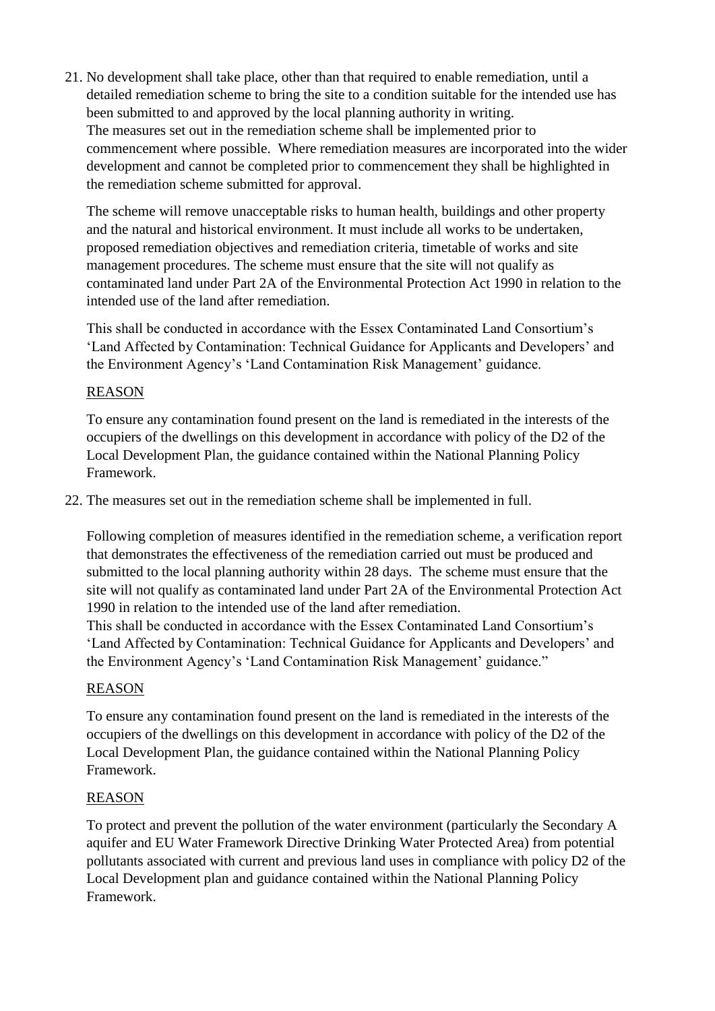21. No development shall take place, other than that required to enable remediation, until a detailed remediation scheme to bring the site to a condition suitable for the intended use has been submitted to and approved by the local planning authority in writing. The measures set out in the remediation scheme shall be implemented prior to commencement where possible. Where remediation measures are incorporated into the wider development and cannot be completed prior to commencement they shall be highlighted in the remediation scheme submitted for approval.

The scheme will remove unacceptable risks to human health, buildings and other property and the natural and historical environment. It must include all works to be undertaken, proposed remediation objectives and remediation criteria, timetable of works and site management procedures. The scheme must ensure that the site will not qualify as contaminated land under Part 2A of the Environmental Protection Act 1990 in relation to the intended use of the land after remediation.

This shall be conducted in accordance with the Essex Contaminated Land Consortium's 'Land Affected by Contamination: Technical Guidance for Applicants and Developers' and the Environment Agency's 'Land Contamination Risk Management' guidance.

# REASON

To ensure any contamination found present on the land is remediated in the interests of the occupiers of the dwellings on this development in accordance with policy of the D2 of the Local Development Plan, the guidance contained within the National Planning Policy Framework.

22. The measures set out in the remediation scheme shall be implemented in full.

Following completion of measures identified in the remediation scheme, a verification report that demonstrates the effectiveness of the remediation carried out must be produced and submitted to the local planning authority within 28 days. The scheme must ensure that the site will not qualify as contaminated land under Part 2A of the Environmental Protection Act 1990 in relation to the intended use of the land after remediation.

This shall be conducted in accordance with the Essex Contaminated Land Consortium's 'Land Affected by Contamination: Technical Guidance for Applicants and Developers' and the Environment Agency's 'Land Contamination Risk Management' guidance."

# REASON

To ensure any contamination found present on the land is remediated in the interests of the occupiers of the dwellings on this development in accordance with policy of the D2 of the Local Development Plan, the guidance contained within the National Planning Policy Framework.

## REASON

To protect and prevent the pollution of the water environment (particularly the Secondary A aquifer and EU Water Framework Directive Drinking Water Protected Area) from potential pollutants associated with current and previous land uses in compliance with policy D2 of the Local Development plan and guidance contained within the National Planning Policy Framework.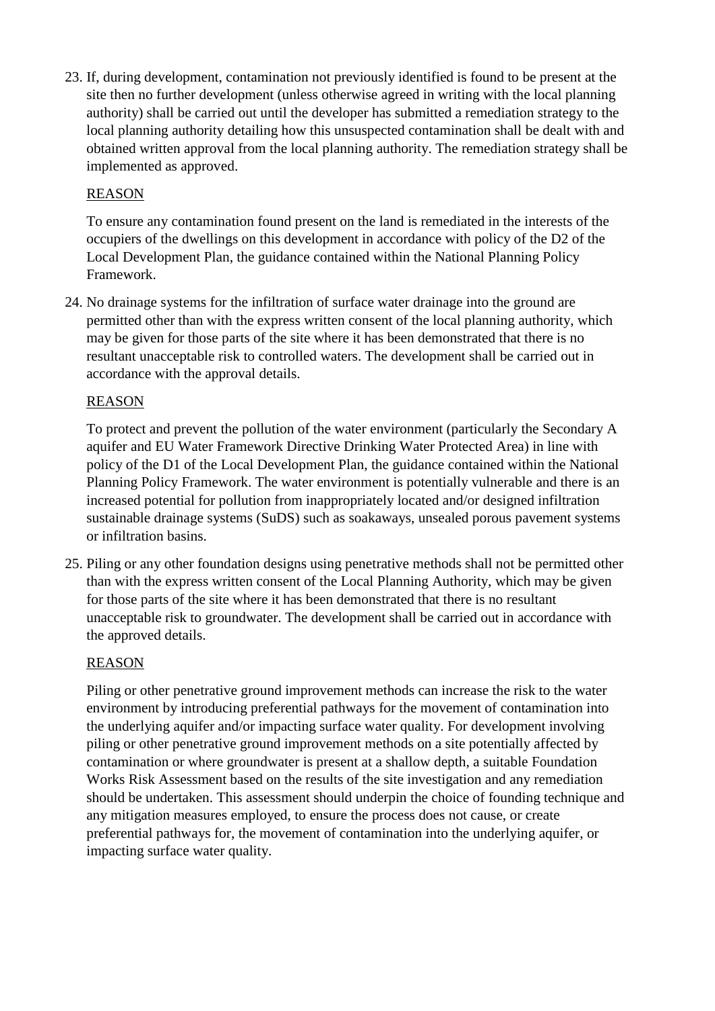23. If, during development, contamination not previously identified is found to be present at the site then no further development (unless otherwise agreed in writing with the local planning authority) shall be carried out until the developer has submitted a remediation strategy to the local planning authority detailing how this unsuspected contamination shall be dealt with and obtained written approval from the local planning authority. The remediation strategy shall be implemented as approved.

## REASON

To ensure any contamination found present on the land is remediated in the interests of the occupiers of the dwellings on this development in accordance with policy of the D2 of the Local Development Plan, the guidance contained within the National Planning Policy Framework.

24. No drainage systems for the infiltration of surface water drainage into the ground are permitted other than with the express written consent of the local planning authority, which may be given for those parts of the site where it has been demonstrated that there is no resultant unacceptable risk to controlled waters. The development shall be carried out in accordance with the approval details.

# REASON

To protect and prevent the pollution of the water environment (particularly the Secondary A aquifer and EU Water Framework Directive Drinking Water Protected Area) in line with policy of the D1 of the Local Development Plan, the guidance contained within the National Planning Policy Framework. The water environment is potentially vulnerable and there is an increased potential for pollution from inappropriately located and/or designed infiltration sustainable drainage systems (SuDS) such as soakaways, unsealed porous pavement systems or infiltration basins.

25. Piling or any other foundation designs using penetrative methods shall not be permitted other than with the express written consent of the Local Planning Authority, which may be given for those parts of the site where it has been demonstrated that there is no resultant unacceptable risk to groundwater. The development shall be carried out in accordance with the approved details.

## REASON

Piling or other penetrative ground improvement methods can increase the risk to the water environment by introducing preferential pathways for the movement of contamination into the underlying aquifer and/or impacting surface water quality. For development involving piling or other penetrative ground improvement methods on a site potentially affected by contamination or where groundwater is present at a shallow depth, a suitable Foundation Works Risk Assessment based on the results of the site investigation and any remediation should be undertaken. This assessment should underpin the choice of founding technique and any mitigation measures employed, to ensure the process does not cause, or create preferential pathways for, the movement of contamination into the underlying aquifer, or impacting surface water quality.